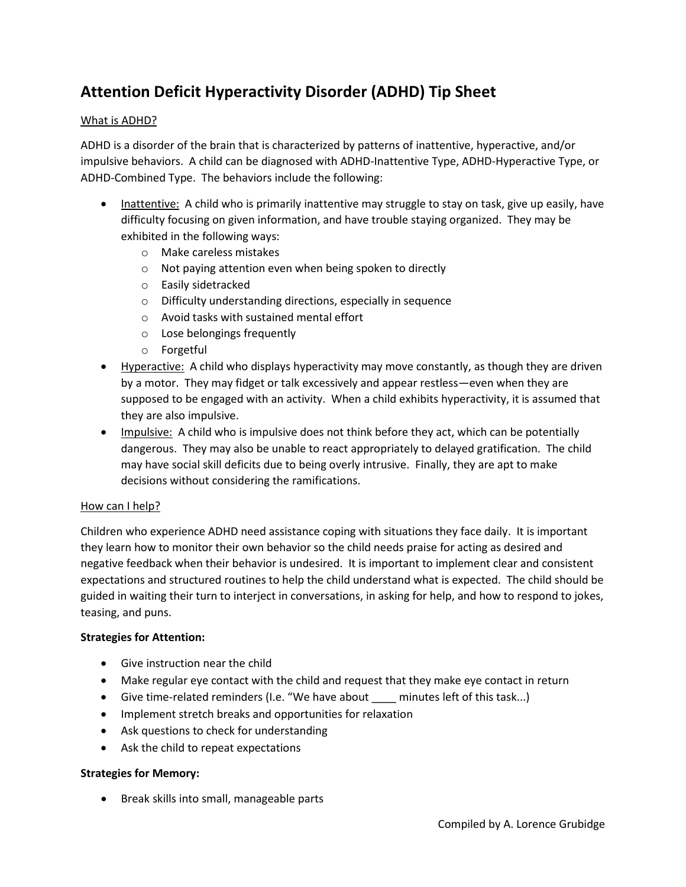# **Attention Deficit Hyperactivity Disorder (ADHD) Tip Sheet**

## What is ADHD?

ADHD is a disorder of the brain that is characterized by patterns of inattentive, hyperactive, and/or impulsive behaviors. A child can be diagnosed with ADHD-Inattentive Type, ADHD-Hyperactive Type, or ADHD-Combined Type. The behaviors include the following:

- Inattentive: A child who is primarily inattentive may struggle to stay on task, give up easily, have difficulty focusing on given information, and have trouble staying organized. They may be exhibited in the following ways:
	- o Make careless mistakes
	- o Not paying attention even when being spoken to directly
	- o Easily sidetracked
	- o Difficulty understanding directions, especially in sequence
	- o Avoid tasks with sustained mental effort
	- o Lose belongings frequently
	- o Forgetful
- Hyperactive: A child who displays hyperactivity may move constantly, as though they are driven by a motor. They may fidget or talk excessively and appear restless—even when they are supposed to be engaged with an activity. When a child exhibits hyperactivity, it is assumed that they are also impulsive.
- Impulsive: A child who is impulsive does not think before they act, which can be potentially dangerous. They may also be unable to react appropriately to delayed gratification. The child may have social skill deficits due to being overly intrusive. Finally, they are apt to make decisions without considering the ramifications.

### How can I help?

Children who experience ADHD need assistance coping with situations they face daily. It is important they learn how to monitor their own behavior so the child needs praise for acting as desired and negative feedback when their behavior is undesired. It is important to implement clear and consistent expectations and structured routines to help the child understand what is expected. The child should be guided in waiting their turn to interject in conversations, in asking for help, and how to respond to jokes, teasing, and puns.

# **Strategies for Attention:**

- Give instruction near the child
- Make regular eye contact with the child and request that they make eye contact in return
- Give time-related reminders (I.e. "We have about minutes left of this task...)
- Implement stretch breaks and opportunities for relaxation
- Ask questions to check for understanding
- Ask the child to repeat expectations

### **Strategies for Memory:**

• Break skills into small, manageable parts